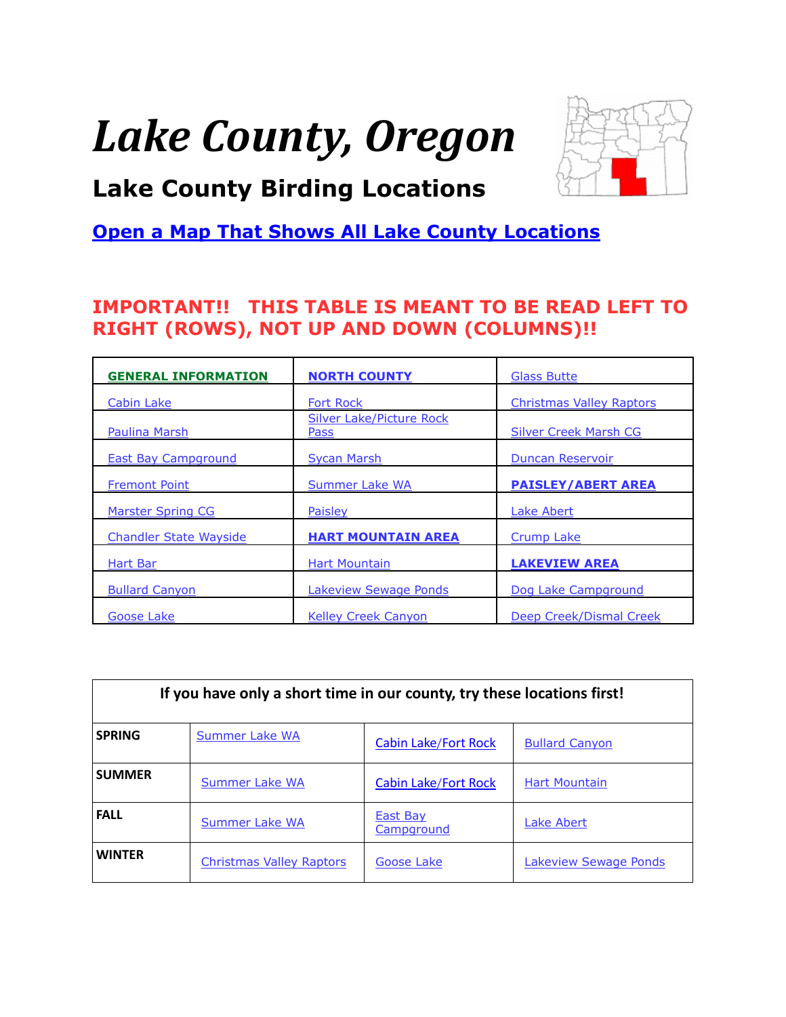# <span id="page-0-0"></span>*Lake County, Oregon*



### **Lake County Birding Locations**

### **[Open a Map That Shows All Lake County Locations](https://www.google.com/maps/d/edit?mid=zVl1oTDALjf4.kebKe744fzv0&usp=sharing)**

### **IMPORTANT!! THIS TABLE IS MEANT TO BE READ LEFT TO RIGHT (ROWS), NOT UP AND DOWN (COLUMNS)!!**

| <b>GENERAL INFORMATION</b>    | <b>NORTH COUNTY</b>                     | <b>Glass Butte</b>              |
|-------------------------------|-----------------------------------------|---------------------------------|
| Cabin Lake                    | <b>Fort Rock</b>                        | <b>Christmas Valley Raptors</b> |
| <b>Paulina Marsh</b>          | <b>Silver Lake/Picture Rock</b><br>Pass | <b>Silver Creek Marsh CG</b>    |
| <b>East Bay Campground</b>    | <b>Sycan Marsh</b>                      | <b>Duncan Reservoir</b>         |
| <b>Fremont Point</b>          | <b>Summer Lake WA</b>                   | <b>PAISLEY/ABERT AREA</b>       |
| <b>Marster Spring CG</b>      | Paisley                                 | Lake Abert                      |
| <b>Chandler State Wayside</b> | <b>HART MOUNTAIN AREA</b>               | <b>Crump Lake</b>               |
| Hart Bar                      | <b>Hart Mountain</b>                    | <b>LAKEVIEW AREA</b>            |
| <b>Bullard Canyon</b>         | <b>Lakeview Sewage Ponds</b>            | Dog Lake Campground             |
| Goose Lake                    | <b>Kelley Creek Canyon</b>              | Deep Creek/Dismal Creek         |

| If you have only a short time in our county, try these locations first! |                                 |                             |                       |  |
|-------------------------------------------------------------------------|---------------------------------|-----------------------------|-----------------------|--|
| <b>SPRING</b>                                                           | Summer Lake WA                  | <b>Cabin Lake/Fort Rock</b> | <b>Bullard Canyon</b> |  |
| <b>SUMMER</b>                                                           | Summer Lake WA                  | <b>Cabin Lake/Fort Rock</b> | <b>Hart Mountain</b>  |  |
| <b>FALL</b>                                                             | <b>Summer Lake WA</b>           | East Bay<br>Campground      | <b>Lake Abert</b>     |  |
| <b>WINTFR</b>                                                           | <b>Christmas Valley Raptors</b> | Goose Lake                  | Lakeview Sewage Ponds |  |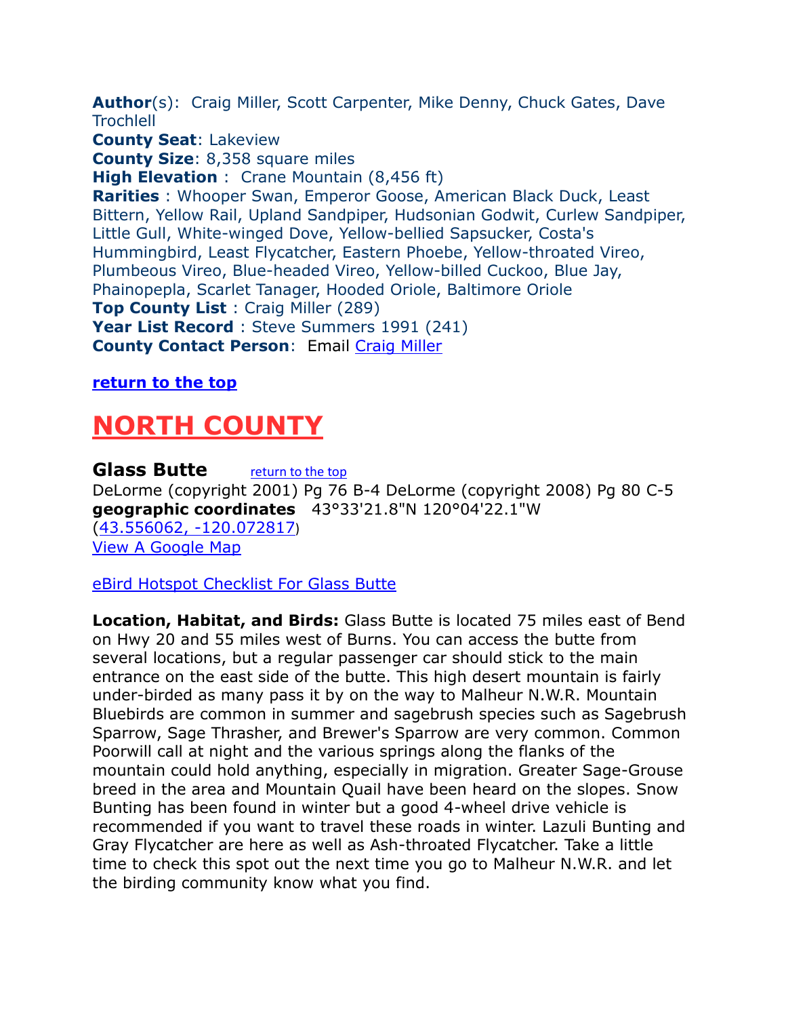<span id="page-1-0"></span>**Author**(s): Craig Miller, Scott Carpenter, Mike Denny, Chuck Gates, Dave **Trochlell** 

**County Seat**: Lakeview

**County Size**: 8,358 square miles

**High Elevation** : Crane Mountain (8,456 ft)

**Rarities** : Whooper Swan, Emperor Goose, American Black Duck, Least Bittern, Yellow Rail, Upland Sandpiper, Hudsonian Godwit, Curlew Sandpiper, Little Gull, White-winged Dove, Yellow-bellied Sapsucker, Costa's Hummingbird, Least Flycatcher, Eastern Phoebe, Yellow-throated Vireo, Plumbeous Vireo, Blue-headed Vireo, Yellow-billed Cuckoo, Blue Jay, Phainopepla, Scarlet Tanager, Hooded Oriole, Baltimore Oriole **Top County List** : Craig Miller (289) **Year List Record** : Steve Summers 1991 (241) **County Contact Person**: Email [Craig Miller](mailto:gismiller@gmail.com)

#### **[return to the top](#page-0-0)**

# <span id="page-1-1"></span>**NORTH COUNTY**

<span id="page-1-2"></span>**Glass Butte** *[return to the top](#page-0-0)* DeLorme (copyright 2001) Pg 76 B-4 DeLorme (copyright 2008) Pg 80 C-5 **geographic coordinates** 43°33'21.8"N 120°04'22.1"W [\(43.556062, -120.072817](https://www.google.com/maps/place/43°33)) [View A Google Map](http://maps.google.com/maps/ms?hl=en&ie=UTF8&msa=0&msid=108036481085398338899.0004788c445aaecac9f9d&ll=43.577406,-120.058937&spn=0.19798,0.528374&z=12)

#### [eBird Hotspot Checklist For Glass Butte](http://ebird.org/ebird/hotspot/L3295013?yr=all&m=&rank=mrec)

**Location, Habitat, and Birds:** Glass Butte is located 75 miles east of Bend on Hwy 20 and 55 miles west of Burns. You can access the butte from several locations, but a regular passenger car should stick to the main entrance on the east side of the butte. This high desert mountain is fairly under-birded as many pass it by on the way to Malheur N.W.R. Mountain Bluebirds are common in summer and sagebrush species such as Sagebrush Sparrow, Sage Thrasher, and Brewer's Sparrow are very common. Common Poorwill call at night and the various springs along the flanks of the mountain could hold anything, especially in migration. Greater Sage-Grouse breed in the area and Mountain Quail have been heard on the slopes. Snow Bunting has been found in winter but a good 4-wheel drive vehicle is recommended if you want to travel these roads in winter. Lazuli Bunting and Gray Flycatcher are here as well as Ash-throated Flycatcher. Take a little time to check this spot out the next time you go to Malheur N.W.R. and let the birding community know what you find.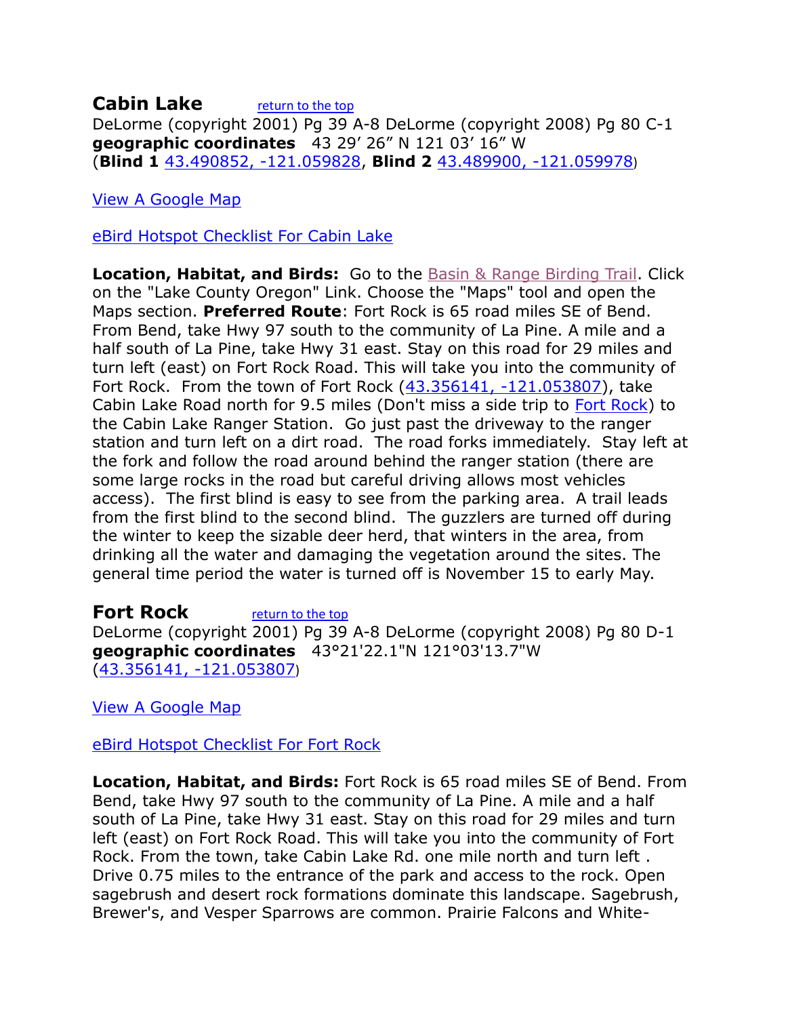#### <span id="page-2-0"></span>**Cabin Lake** [return to the top](#page-0-0) DeLorme (copyright 2001) Pg 39 A-8 DeLorme (copyright 2008) Pg 80 C-1 **geographic coordinates** 43 29' 26" N 121 03' 16" W (**Blind 1** [43.490852, -121.059828,](https://www.google.com/maps/place/43°29) **Blind 2** [43.489900, -121.059978](https://www.google.com/maps/place/43°29))

[View A Google Map](http://maps.google.com/maps/ms?hl=en&ie=UTF8&msa=0&msid=108036481085398338899.00046dea1ec3156efcb0d&ll=43.51868,-121.116028&spn=1.585375,4.22699&z=9)

[eBird Hotspot Checklist For Cabin Lake](http://ebird.org/ebird/hotspot/L1665567?yr=all&m=&rank=mrec)

**Location, Habitat, and Birds:** Go to the [Basin & Range Birding Trail.](https://web.archive.org/web/20120303232437/http:/www.basinrangebirdingtrail.com/map.php?c=lake) Click on the "Lake County Oregon" Link. Choose the "Maps" tool and open the Maps section. **Preferred Route**: Fort Rock is 65 road miles SE of Bend. From Bend, take Hwy 97 south to the community of La Pine. A mile and a half south of La Pine, take Hwy 31 east. Stay on this road for 29 miles and turn left (east) on Fort Rock Road. This will take you into the community of Fort Rock. From the town of Fort Rock [\(43.356141, -121.053807\)](https://www.google.com/maps/place/43°21), take Cabin Lake Road north for 9.5 miles (Don't miss a side trip to Fort [Rock\)](#page-2-1) to the Cabin Lake Ranger Station. Go just past the driveway to the ranger station and turn left on a dirt road. The road forks immediately. Stay left at the fork and follow the road around behind the ranger station (there are some large rocks in the road but careful driving allows most vehicles access). The first blind is easy to see from the parking area. A trail leads from the first blind to the second blind. The guzzlers are turned off during the winter to keep the sizable deer herd, that winters in the area, from drinking all the water and damaging the vegetation around the sites. The general time period the water is turned off is November 15 to early May.

<span id="page-2-1"></span>**Fort Rock** *[return to the top](#page-0-0)* DeLorme (copyright 2001) Pg 39 A-8 DeLorme (copyright 2008) Pg 80 D-1 **geographic coordinates** 43°21'22.1"N 121°03'13.7"W [\(43.356141, -121.053807](https://www.google.com/maps/place/43°21))

[View A Google Map](http://maps.google.com/maps/ms?hl=en&ie=UTF8&msa=0&msid=108036481085398338899.0004788c16c7ef7e7a053&ll=43.375109,-121.044617&spn=1.589142,4.22699&z=9)

[eBird Hotspot Checklist For Fort Rock](http://ebird.org/ebird/hotspot/L447375?yr=all&m=&rank=mrec)

**Location, Habitat, and Birds:** Fort Rock is 65 road miles SE of Bend. From Bend, take Hwy 97 south to the community of La Pine. A mile and a half south of La Pine, take Hwy 31 east. Stay on this road for 29 miles and turn left (east) on Fort Rock Road. This will take you into the community of Fort Rock. From the town, take Cabin Lake Rd. one mile north and turn left . Drive 0.75 miles to the entrance of the park and access to the rock. Open sagebrush and desert rock formations dominate this landscape. Sagebrush, Brewer's, and Vesper Sparrows are common. Prairie Falcons and White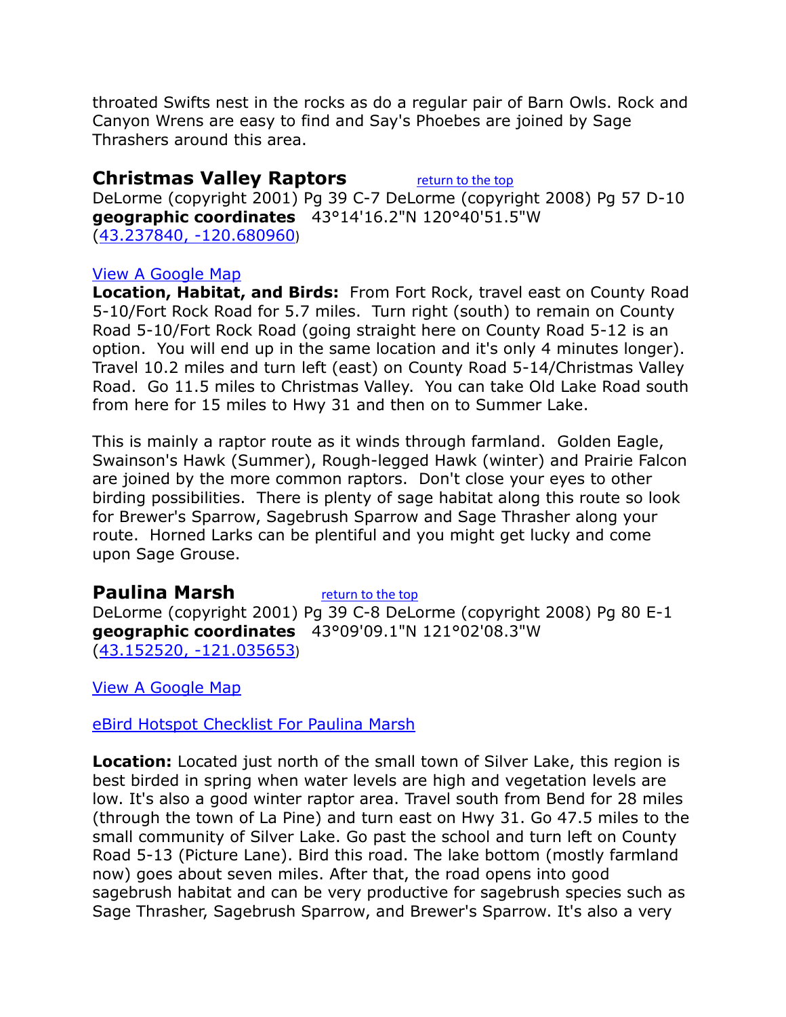throated Swifts nest in the rocks as do a regular pair of Barn Owls. Rock and Canyon Wrens are easy to find and Say's Phoebes are joined by Sage Thrashers around this area.

#### <span id="page-3-0"></span>**Christmas Valley Raptors** [return to the top](#page-0-0)

DeLorme (copyright 2001) Pg 39 C-7 DeLorme (copyright 2008) Pg 57 D-10 **geographic coordinates** 43°14'16.2"N 120°40'51.5"W [\(43.237840, -120.680960](https://www.google.com/maps/place/43°14))

#### [View A Google Map](http://maps.google.com/maps/ms?hl=en&ie=UTF8&msa=0&msid=108036481085398338899.00046dea5ea4fa6438564&ll=43.022722,-120.775452&spn=1.724818,4.216003&z=9)

**Location, Habitat, and Birds:** From Fort Rock, travel east on County Road 5-10/Fort Rock Road for 5.7 miles. Turn right (south) to remain on County Road 5-10/Fort Rock Road (going straight here on County Road 5-12 is an option. You will end up in the same location and it's only 4 minutes longer). Travel 10.2 miles and turn left (east) on County Road 5-14/Christmas Valley Road. Go 11.5 miles to Christmas Valley. You can take Old Lake Road south from here for 15 miles to Hwy 31 and then on to Summer Lake.

This is mainly a raptor route as it winds through farmland. Golden Eagle, Swainson's Hawk (Summer), Rough-legged Hawk (winter) and Prairie Falcon are joined by the more common raptors. Don't close your eyes to other birding possibilities. There is plenty of sage habitat along this route so look for Brewer's Sparrow, Sagebrush Sparrow and Sage Thrasher along your route. Horned Larks can be plentiful and you might get lucky and come upon Sage Grouse.

#### <span id="page-3-1"></span>**Paulina Marsh** [return to the top](#page-0-0)

DeLorme (copyright 2001) Pg 39 C-8 DeLorme (copyright 2008) Pg 80 E-1 **geographic coordinates** 43°09'09.1"N 121°02'08.3"W [\(43.152520, -121.035653](https://www.google.com/maps/place/43°09))

[View A Google Map](http://maps.google.com/maps/ms?hl=en&source=hp&ie=UTF8&msa=0&msid=108036481085398338899.000479fed52e7436f871a&ll=43.153102,-120.874329&spn=0.860586,2.108002&z=10)

[eBird Hotspot Checklist For Paulina Marsh](http://ebird.org/ebird/hotspot/L3315616?yr=all&m=&rank=mrec)

**Location:** Located just north of the small town of Silver Lake, this region is best birded in spring when water levels are high and vegetation levels are low. It's also a good winter raptor area. Travel south from Bend for 28 miles (through the town of La Pine) and turn east on Hwy 31. Go 47.5 miles to the small community of Silver Lake. Go past the school and turn left on County Road 5-13 (Picture Lane). Bird this road. The lake bottom (mostly farmland now) goes about seven miles. After that, the road opens into good sagebrush habitat and can be very productive for sagebrush species such as Sage Thrasher, Sagebrush Sparrow, and Brewer's Sparrow. It's also a very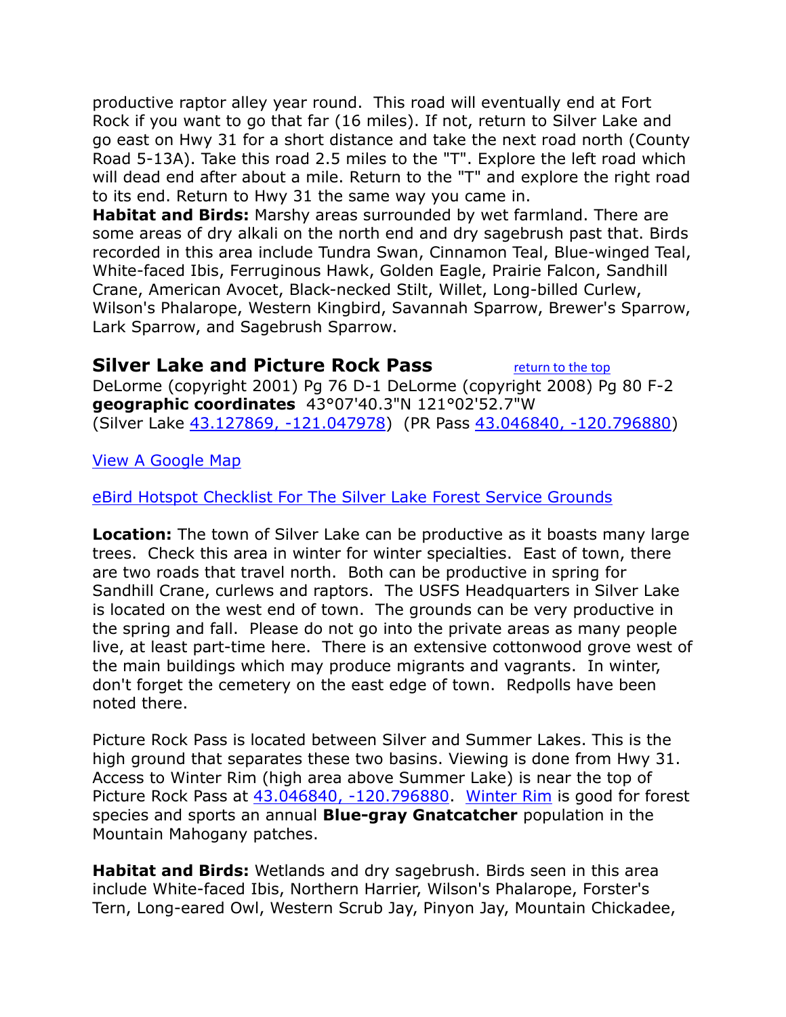productive raptor alley year round. This road will eventually end at Fort Rock if you want to go that far (16 miles). If not, return to Silver Lake and go east on Hwy 31 for a short distance and take the next road north (County Road 5-13A). Take this road 2.5 miles to the "T". Explore the left road which will dead end after about a mile. Return to the "T" and explore the right road to its end. Return to Hwy 31 the same way you came in.

**Habitat and Birds:** Marshy areas surrounded by wet farmland. There are some areas of dry alkali on the north end and dry sagebrush past that. Birds recorded in this area include Tundra Swan, Cinnamon Teal, Blue-winged Teal, White-faced Ibis, Ferruginous Hawk, Golden Eagle, Prairie Falcon, Sandhill Crane, American Avocet, Black-necked Stilt, Willet, Long-billed Curlew, Wilson's Phalarope, Western Kingbird, Savannah Sparrow, Brewer's Sparrow, Lark Sparrow, and Sagebrush Sparrow.

#### <span id="page-4-0"></span>**Silver Lake and Picture Rock Pass** [return to the top](#page-0-0)

DeLorme (copyright 2001) Pg 76 D-1 DeLorme (copyright 2008) Pg 80 F-2 **geographic coordinates** 43°07'40.3"N 121°02'52.7"W (Silver Lake [43.127869, -121.047978\)](https://www.google.com/maps/place/43°07) (PR Pass [43.046840, -120.796880\)](https://www.google.com/maps/place/43°02)

[View A Google Map](http://maps.google.com/maps/ms?hl=en&source=hp&ie=UTF8&msa=0&msid=108036481085398338899.000479fed52e7436f871a&ll=43.153102,-120.874329&spn=0.860586,2.108002&z=10)

#### [eBird Hotspot Checklist For The Silver Lake Forest Service Grounds](http://ebird.org/ebird/hotspot/L3039593?yr=all&m=&rank=mrec)

**Location:** The town of Silver Lake can be productive as it boasts many large trees. Check this area in winter for winter specialties. East of town, there are two roads that travel north. Both can be productive in spring for Sandhill Crane, curlews and raptors. The USFS Headquarters in Silver Lake is located on the west end of town. The grounds can be very productive in the spring and fall. Please do not go into the private areas as many people live, at least part-time here. There is an extensive cottonwood grove west of the main buildings which may produce migrants and vagrants. In winter, don't forget the cemetery on the east edge of town. Redpolls have been noted there.

Picture Rock Pass is located between Silver and Summer Lakes. This is the high ground that separates these two basins. Viewing is done from Hwy 31. Access to Winter Rim (high area above Summer Lake) is near the top of Picture Rock Pass at [43.046840, -120.796880.](https://www.google.com/maps/place/43°02) [Winter Rim](#page-6-1) is good for forest species and sports an annual **Blue-gray Gnatcatcher** population in the Mountain Mahogany patches.

**Habitat and Birds:** Wetlands and dry sagebrush. Birds seen in this area include White-faced Ibis, Northern Harrier, Wilson's Phalarope, Forster's Tern, Long-eared Owl, Western Scrub Jay, Pinyon Jay, Mountain Chickadee,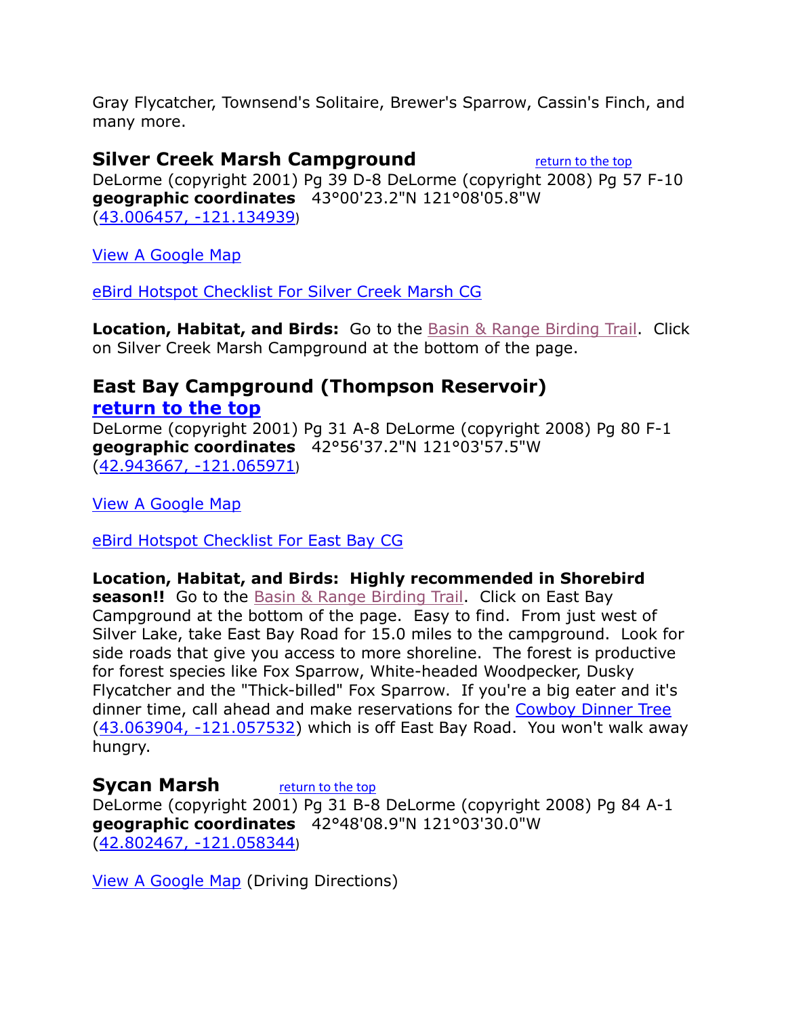Gray Flycatcher, Townsend's Solitaire, Brewer's Sparrow, Cassin's Finch, and many more.

#### <span id="page-5-0"></span>**Silver Creek Marsh Campground** [return to the top](#page-0-0)

DeLorme (copyright 2001) Pg 39 D-8 DeLorme (copyright 2008) Pg 57 F-10 **geographic coordinates** 43°00'23.2"N 121°08'05.8"W [\(43.006457, -121.134939](https://www.google.com/maps/place/43°00))

[View A Google Map](http://maps.google.com/maps/ms?hl=en&ie=UTF8&msa=0&msid=108036481085398338899.00046dea5ea4fa6438564&ll=43.022722,-120.775452&spn=1.724818,4.216003&z=9)

[eBird Hotspot Checklist For Silver Creek Marsh CG](http://ebird.org/ebird/hotspot/L2268053?yr=all&m=&rank=mrec)

**Location, Habitat, and Birds:** Go to the [Basin & Range Birding Trail.](https://web.archive.org/web/20120303232437/http:/www.basinrangebirdingtrail.com/map.php?c=lake) Click on Silver Creek Marsh Campground at the bottom of the page.

#### <span id="page-5-1"></span>**East Bay Campground (Thompson Reservoir) [return to the top](#page-0-0)**

DeLorme (copyright 2001) Pg 31 A-8 DeLorme (copyright 2008) Pg 80 F-1 **geographic coordinates** 42°56'37.2"N 121°03'57.5"W [\(42.943667, -121.065971](https://www.google.com/maps/place/42°56))

[View A Google Map](http://maps.google.com/maps/ms?hl=en&ie=UTF8&msa=0&msid=108036481085398338899.00046dea5ea4fa6438564&ll=43.022722,-120.775452&spn=1.724818,4.216003&z=9)

[eBird Hotspot Checklist For East Bay CG](http://ebird.org/ebird/hotspot/L950908?yr=all&m=&rank=mrec)

#### **Location, Habitat, and Birds: Highly recommended in Shorebird**

**season!!** Go to the [Basin & Range Birding Trail.](https://web.archive.org/web/20120303232437/http:/www.basinrangebirdingtrail.com/map.php?c=lake) Click on East Bay Campground at the bottom of the page. Easy to find. From just west of Silver Lake, take East Bay Road for 15.0 miles to the campground. Look for side roads that give you access to more shoreline. The forest is productive for forest species like Fox Sparrow, White-headed Woodpecker, Dusky Flycatcher and the "Thick-billed" Fox Sparrow. If you're a big eater and it's dinner time, call ahead and make reservations for the [Cowboy Dinner Tree](http://www.cowboydinnertree.net/) [\(43.063904, -121.057532\)](https://www.google.com/maps/place/43°03) which is off East Bay Road. You won't walk away hungry.

#### <span id="page-5-2"></span>**Sycan Marsh** [return to the top](#page-0-0)

DeLorme (copyright 2001) Pg 31 B-8 DeLorme (copyright 2008) Pg 84 A-1 **geographic coordinates** 42°48'08.9"N 121°03'30.0"W [\(42.802467, -121.058344](https://www.google.com/maps/place/42°48))

[View A Google Map](http://maps.google.com/maps/ms?hl=en&ie=UTF8&msa=0&msid=108036481085398338899.00046de70f9f3832705ba&ll=42.969487,-121.040497&spn=0.863167,2.108002&z=10) (Driving Directions)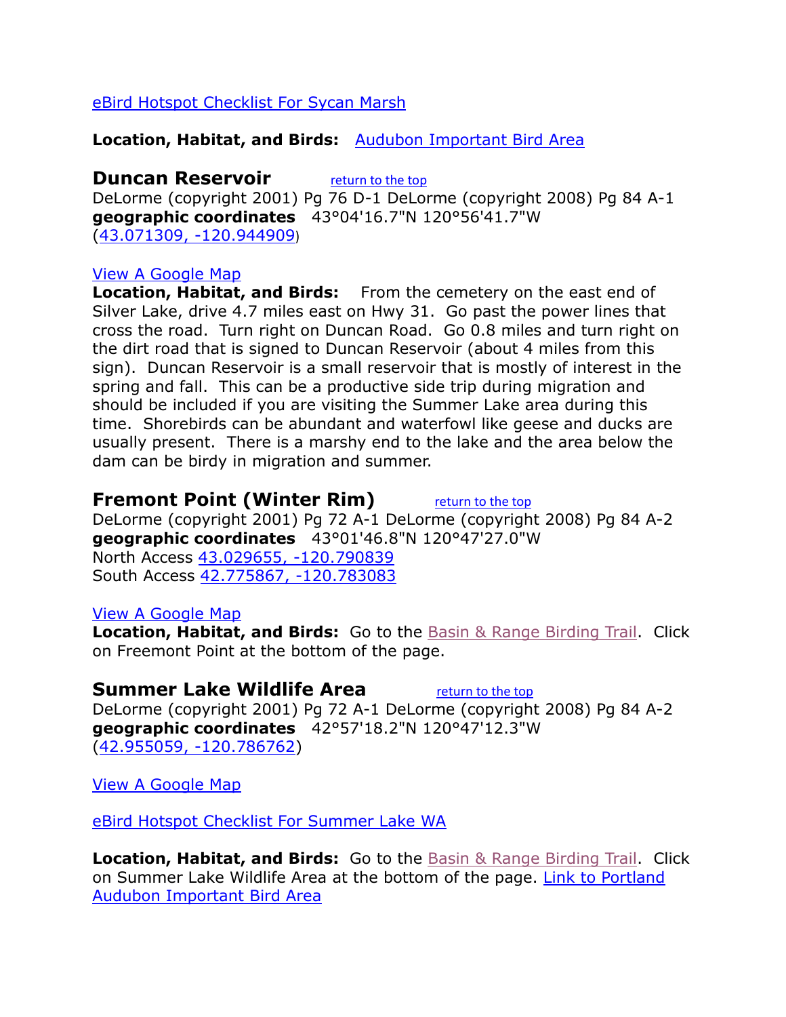#### [eBird Hotspot Checklist For Sycan Marsh](http://ebird.org/ebird/hotspot/L966471?yr=all&m=&rank=mrec)

#### **Location, Habitat, and Birds:** [Audubon Important Bird Area](http://www.audubonportland.org/issues/statewide/iba/iba-map/sycan)

<span id="page-6-0"></span>**Duncan Reservoir** [return to the top](#page-0-0) DeLorme (copyright 2001) Pg 76 D-1 DeLorme (copyright 2008) Pg 84 A-1 **geographic coordinates** 43°04'16.7"N 120°56'41.7"W [\(43.071309, -120.944909](https://www.google.com/maps/place/43°04))

#### [View A Google Map](http://maps.google.com/maps/ms?hl=en&ie=UTF8&msa=0&msid=108036481085398338899.00046de70f9f3832705ba&ll=42.969487,-121.040497&spn=0.863167,2.108002&z=10)

**Location, Habitat, and Birds:** From the cemetery on the east end of Silver Lake, drive 4.7 miles east on Hwy 31. Go past the power lines that cross the road. Turn right on Duncan Road. Go 0.8 miles and turn right on the dirt road that is signed to Duncan Reservoir (about 4 miles from this sign). Duncan Reservoir is a small reservoir that is mostly of interest in the spring and fall. This can be a productive side trip during migration and should be included if you are visiting the Summer Lake area during this time. Shorebirds can be abundant and waterfowl like geese and ducks are usually present. There is a marshy end to the lake and the area below the dam can be birdy in migration and summer.

#### **Fremont Point (Winter Rim)** [return to the top](#page-0-0)

<span id="page-6-1"></span>

DeLorme (copyright 2001) Pg 72 A-1 DeLorme (copyright 2008) Pg 84 A-2 **geographic coordinates** 43°01'46.8"N 120°47'27.0"W North Access [43.029655, -120.790839](https://www.google.com/maps/place/43°01)  South Access [42.775867, -120.783083](https://www.google.com/maps/place/42°46)

#### [View A Google Map](http://maps.google.com/maps/ms?hl=en&ie=UTF8&msa=0&msid=108036481085398338899.00046dea5ea4fa6438564&ll=43.022722,-120.775452&spn=1.724818,4.216003&z=9)

**Location, Habitat, and Birds:** Go to the [Basin & Range Birding Trail.](https://web.archive.org/web/20120303232437/http:/www.basinrangebirdingtrail.com/map.php?c=lake) Click on Freemont Point at the bottom of the page.

#### <span id="page-6-2"></span>**Summer Lake Wildlife Area** [return to the top](#page-0-0)

DeLorme (copyright 2001) Pg 72 A-1 DeLorme (copyright 2008) Pg 84 A-2 **geographic coordinates** 42°57'18.2"N 120°47'12.3"W [\(42.955059, -120.786762\)](https://www.google.com/maps/place/42°57)

[View A Google Map](http://maps.google.com/maps/ms?hl=en&ie=UTF8&msa=0&msid=108036481085398338899.00046dea5ea4fa6438564&ll=43.022722,-120.775452&spn=1.724818,4.216003&z=9)

[eBird Hotspot Checklist For Summer Lake WA](http://ebird.org/ebird/hotspot/L444656?yr=all&m=&rank=mrec)

**Location, Habitat, and Birds:** Go to the **[Basin & Range Birding Trail.](https://web.archive.org/web/20120303232437/http:/www.basinrangebirdingtrail.com/map.php?c=lake)** Click on Summer Lake Wildlife Area at the bottom of the page. [Link to Portland](http://www.audubonportland.org/issues/statewide/iba/iba-map/summerlake)  [Audubon Important Bird Area](http://www.audubonportland.org/issues/statewide/iba/iba-map/summerlake)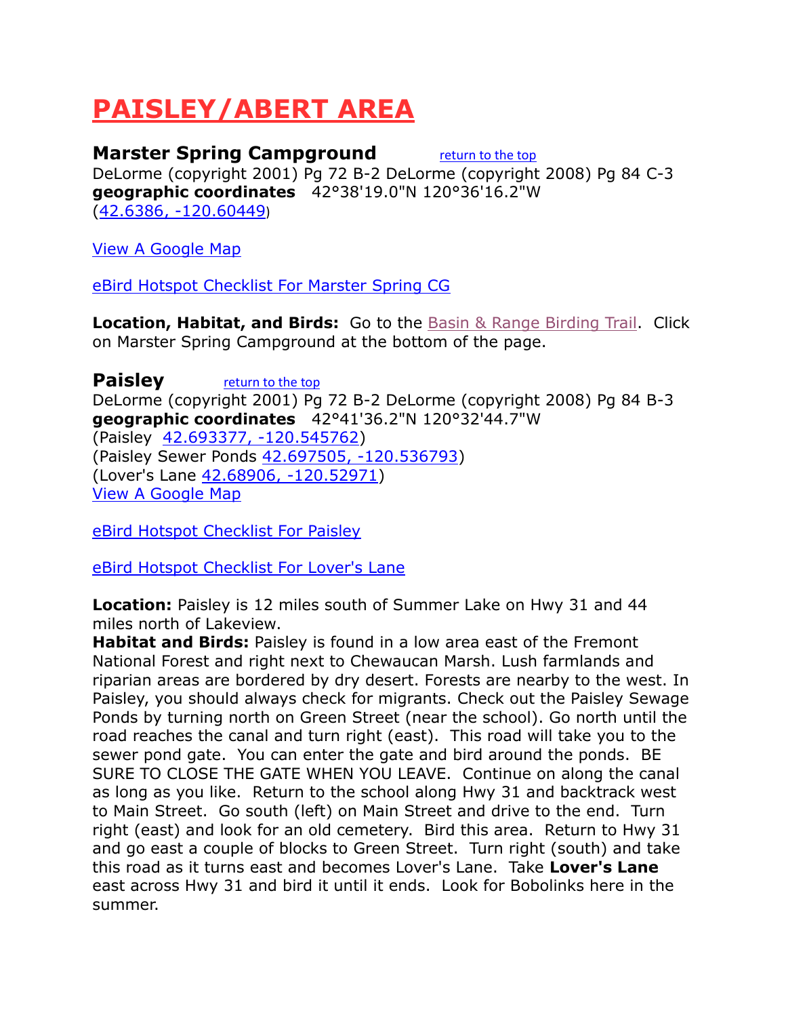# <span id="page-7-0"></span>**PAISLEY/ABERT AREA**

#### <span id="page-7-1"></span>**Marster Spring Campground [return to the top](#page-0-0)**

DeLorme (copyright 2001) Pg 72 B-2 DeLorme (copyright 2008) Pg 84 C-3 **geographic coordinates** 42°38'19.0"N 120°36'16.2"W [\(42.6386, -120.60449](https://www.google.com/maps/place/42°38))

[View A Google Map](http://maps.google.com/maps/ms?hl=en&ie=UTF8&msa=0&msid=108036481085398338899.00046dea5ea4fa6438564&ll=43.022722,-120.775452&spn=1.724818,4.216003&z=9)

[eBird Hotspot Checklist For Marster Spring CG](http://ebird.org/ebird/hotspot/L2267369?yr=all&m=&rank=mrec)

**Location, Habitat, and Birds:** Go to the **[Basin & Range Birding Trail.](https://web.archive.org/web/20120303232437/http:/www.basinrangebirdingtrail.com/map.php?c=lake)** Click on Marster Spring Campground at the bottom of the page.

<span id="page-7-2"></span>**Paisley** [return to the top](#page-0-0) DeLorme (copyright 2001) Pg 72 B-2 DeLorme (copyright 2008) Pg 84 B-3 **geographic coordinates** 42°41'36.2"N 120°32'44.7"W (Paisley [42.693377, -120.545762\)](https://www.google.com/maps/place/42°41) (Paisley Sewer Ponds [42.697505, -120.536793\)](https://www.google.com/maps/place/42°41) (Lover's Lane [42.68906, -120.52971\)](https://www.google.com/maps/place/42°41) [View A Google Map](http://maps.google.com/maps/ms?hl=en&source=hp&ie=UTF8&msa=0&msid=108036481085398338899.0004788bc87ede911cbb7&z=14)

[eBird Hotspot Checklist For Paisley](http://ebird.org/ebird/hotspot/L1275751?yr=all&m=&rank=mrec)

[eBird Hotspot Checklist For Lover's Lane](http://ebird.org/ebird/hotspot/L3723247?yr=all&m=&rank=mrec)

**Location:** Paisley is 12 miles south of Summer Lake on Hwy 31 and 44 miles north of Lakeview.

**Habitat and Birds:** Paisley is found in a low area east of the Fremont National Forest and right next to Chewaucan Marsh. Lush farmlands and riparian areas are bordered by dry desert. Forests are nearby to the west. In Paisley, you should always check for migrants. Check out the Paisley Sewage Ponds by turning north on Green Street (near the school). Go north until the road reaches the canal and turn right (east). This road will take you to the sewer pond gate. You can enter the gate and bird around the ponds. BE SURE TO CLOSE THE GATE WHEN YOU LEAVE. Continue on along the canal as long as you like. Return to the school along Hwy 31 and backtrack west to Main Street. Go south (left) on Main Street and drive to the end. Turn right (east) and look for an old cemetery. Bird this area. Return to Hwy 31 and go east a couple of blocks to Green Street. Turn right (south) and take this road as it turns east and becomes Lover's Lane. Take **Lover's Lane** east across Hwy 31 and bird it until it ends. Look for Bobolinks here in the summer.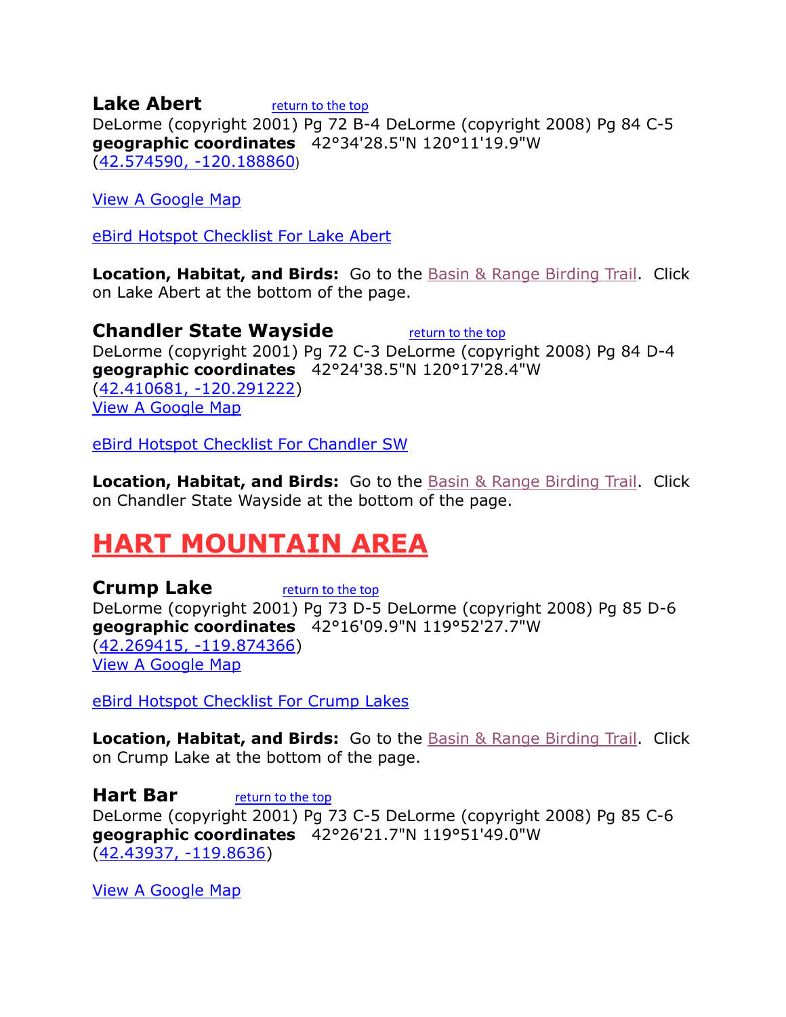<span id="page-8-0"></span>**Lake Abert** *[return to the top](#page-0-0)* DeLorme (copyright 2001) Pg 72 B-4 DeLorme (copyright 2008) Pg 84 C-5 **geographic coordinates** 42°34'28.5"N 120°11'19.9"W [\(42.574590, -120.188860](https://www.google.com/maps/place/42°34))

[View A Google Map](http://maps.google.com/maps/ms?hl=en&ie=UTF8&msa=0&msid=108036481085398338899.00046de76cc9cdcd84cee&ll=42.415346,-120.481567&spn=1.741783,4.216003&z=9)

[eBird Hotspot Checklist For Lake Abert](http://ebird.org/ebird/hotspot/L159585?yr=all&m=&rank=mrec)

**Location, Habitat, and Birds:** Go to the [Basin & Range Birding Trail.](https://web.archive.org/web/20120303232437/http:/www.basinrangebirdingtrail.com/map.php?c=lake) Click on Lake Abert at the bottom of the page.

<span id="page-8-1"></span>**Chandler State Wayside** [return to the top](#page-0-0) DeLorme (copyright 2001) Pg 72 C-3 DeLorme (copyright 2008) Pg 84 D-4 **geographic coordinates** 42°24'38.5"N 120°17'28.4"W [\(42.410681, -120.291222\)](https://www.google.com/maps/place/42°24) [View A Google Map](http://maps.google.com/maps/ms?hl=en&ie=UTF8&msa=0&msid=108036481085398338899.00046de76cc9cdcd84cee&ll=42.415346,-120.481567&spn=1.741783,4.216003&z=9)

[eBird Hotspot Checklist For Chandler SW](http://ebird.org/ebird/hotspot/L732902?yr=all&m=&rank=mrec)

**Location, Habitat, and Birds:** Go to the [Basin & Range Birding Trail.](https://web.archive.org/web/20120303232437/http:/www.basinrangebirdingtrail.com/map.php?c=lake) Click on Chandler State Wayside at the bottom of the page.

### <span id="page-8-2"></span>**HART MOUNTAIN AREA**

<span id="page-8-3"></span>**Crump Lake** [return to the top](#page-0-0) DeLorme (copyright 2001) Pg 73 D-5 DeLorme (copyright 2008) Pg 85 D-6 **geographic coordinates** 42°16'09.9"N 119°52'27.7"W [\(42.269415, -119.874366\)](https://www.google.com/maps/place/42°16) [View A Google Map](http://maps.google.com/maps/ms?hl=en&ie=UTF8&msa=0&msid=108036481085398338899.00046dea45127ab67172b&ll=42.317939,-119.841614&spn=1.744485,4.216003&z=9)

[eBird Hotspot Checklist For Crump Lakes](http://ebird.org/ebird/hotspot/L966559?yr=all&m=&rank=mrec)

**Location, Habitat, and Birds:** Go to the [Basin & Range Birding Trail.](https://web.archive.org/web/20120303232437/http:/www.basinrangebirdingtrail.com/map.php?c=lake) Click on Crump Lake at the bottom of the page.

<span id="page-8-4"></span>**Hart Bar** *[return to the top](#page-0-0)* DeLorme (copyright 2001) Pg 73 C-5 DeLorme (copyright 2008) Pg 85 C-6 **geographic coordinates** 42°26'21.7"N 119°51'49.0"W [\(42.43937, -119.8636\)](https://www.google.com/maps/place/42°26)

[View A Google Map](http://maps.google.com/maps/ms?hl=en&ie=UTF8&msa=0&msid=108036481085398338899.00046dea45127ab67172b&ll=42.317939,-119.841614&spn=1.744485,4.216003&z=9)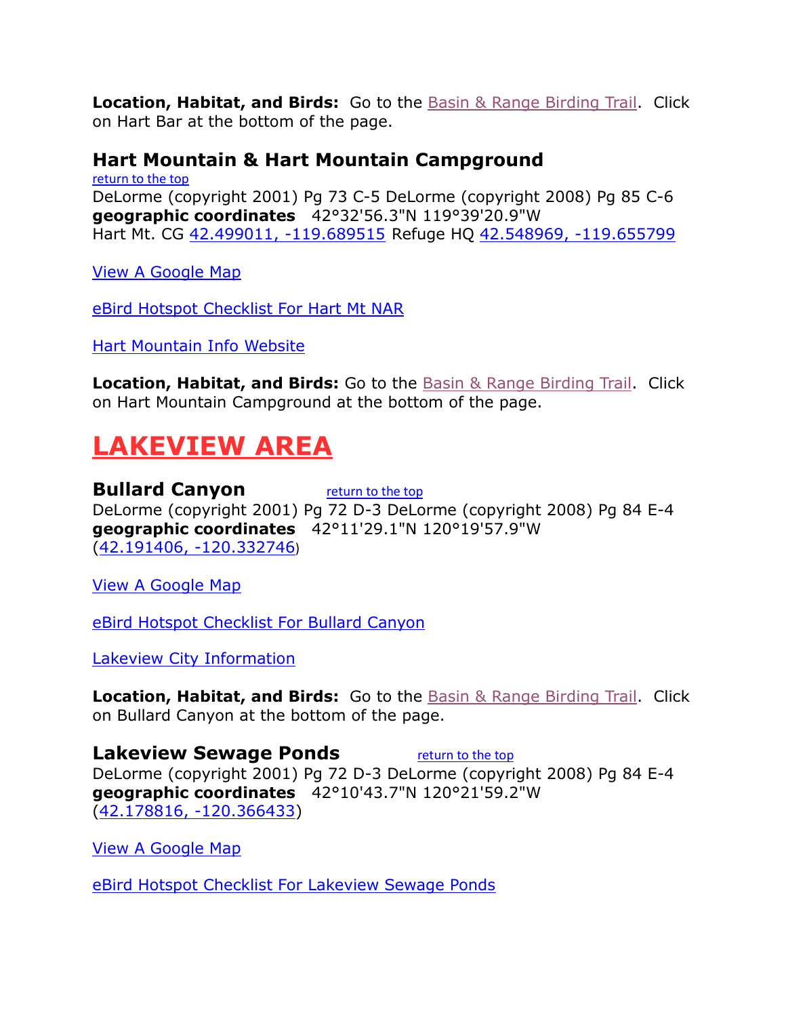**Location, Habitat, and Birds:** Go to the [Basin & Range Birding Trail.](https://web.archive.org/web/20120303232437/http:/www.basinrangebirdingtrail.com/map.php?c=lake) Click on Hart Bar at the bottom of the page.

#### <span id="page-9-0"></span>**Hart Mountain & Hart Mountain Campground**

[return to the top](#page-0-0) DeLorme (copyright 2001) Pg 73 C-5 DeLorme (copyright 2008) Pg 85 C-6 **geographic coordinates** 42°32'56.3"N 119°39'20.9"W Hart Mt. CG [42.499011, -119.689515](https://www.google.com/maps/place/42°29) Refuge HQ [42.548969, -119.655799](https://www.google.com/maps/place/42°32)

[View A Google Map](http://maps.google.com/maps/ms?hl=en&ie=UTF8&msa=0&msid=108036481085398338899.00046dea45127ab67172b&ll=42.317939,-119.841614&spn=1.744485,4.216003&z=9)

[eBird Hotspot Checklist For Hart Mt NAR](http://ebird.org/ebird/hotspot/L360290?yr=all&m=&rank=mrec)

[Hart Mountain Info Website](http://gorp.away.com/gorp/resource/us_nwr/or_hart.htm)

**Location, Habitat, and Birds:** Go to the [Basin & Range Birding Trail.](https://web.archive.org/web/20120303232437/http:/www.basinrangebirdingtrail.com/map.php?c=lake) Click on Hart Mountain Campground at the bottom of the page.

### <span id="page-9-1"></span>**LAKEVIEW AREA**

<span id="page-9-2"></span>**Bullard Canyon** [return to the top](#page-0-0) DeLorme (copyright 2001) Pg 72 D-3 DeLorme (copyright 2008) Pg 84 E-4 **geographic coordinates** 42°11'29.1"N 120°19'57.9"W [\(42.191406, -120.332746](https://www.google.com/maps/place/42°11))

[View A Google Map](http://maps.google.com/maps/ms?hl=en&ie=UTF8&msa=0&msid=108036481085398338899.00046de76cc9cdcd84cee&ll=42.415346,-120.481567&spn=1.741783,4.216003&z=9)

[eBird Hotspot Checklist For Bullard Canyon](http://ebird.org/ebird/hotspot/L1659381?yr=all&m=&rank=mrec)

[Lakeview City Information](http://www.citytowninfo.com/places/oregon/lakeview)

**Location, Habitat, and Birds:** Go to the [Basin & Range Birding Trail.](https://web.archive.org/web/20120303232437/http:/www.basinrangebirdingtrail.com/map.php?c=lake) Click on Bullard Canyon at the bottom of the page.

<span id="page-9-3"></span>**Lakeview Sewage Ponds** *[return to the top](#page-0-0)* DeLorme (copyright 2001) Pg 72 D-3 DeLorme (copyright 2008) Pg 84 E-4 **geographic coordinates** 42°10'43.7"N 120°21'59.2"W [\(42.178816, -120.366433\)](https://www.google.com/maps/place/42°10)

[View A Google Map](http://maps.google.com/maps/ms?hl=en&ie=UTF8&msa=0&msid=108036481085398338899.00046de76cc9cdcd84cee&ll=42.415346,-120.481567&spn=1.741783,4.216003&z=9)

[eBird Hotspot Checklist For Lakeview Sewage Ponds](http://ebird.org/ebird/hotspot/L575740?yr=all&m=&rank=mrec)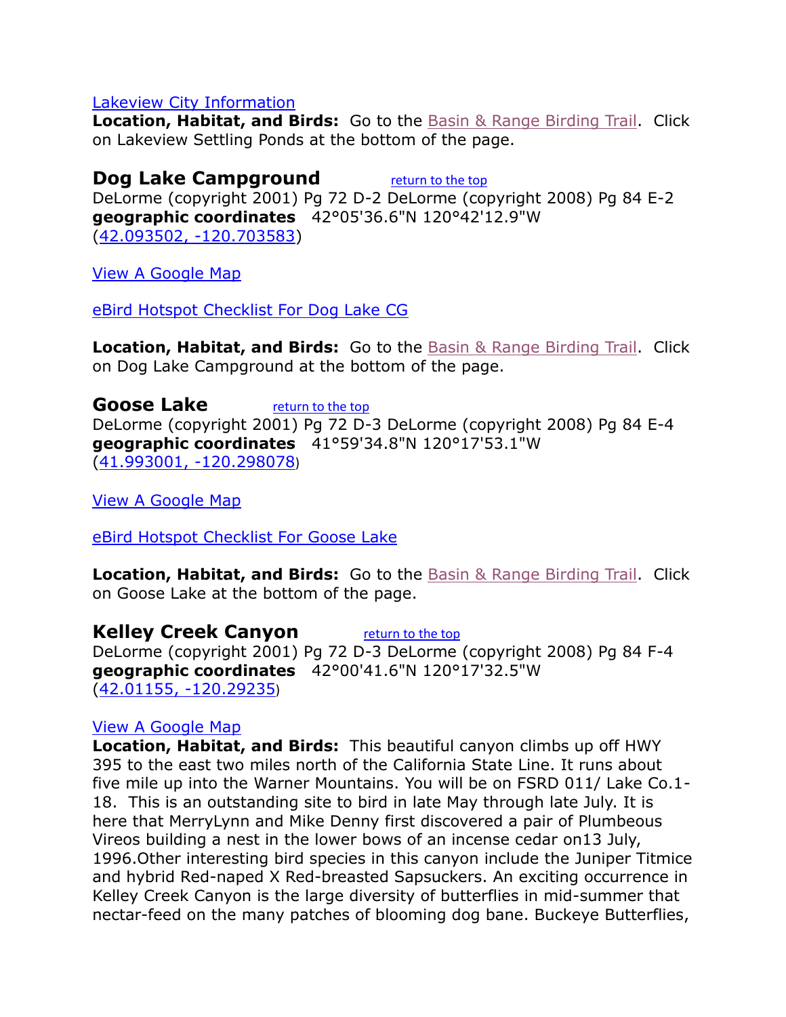#### [Lakeview City Information](http://www.citytowninfo.com/places/oregon/lakeview)

**Location, Habitat, and Birds:** Go to the [Basin & Range Birding Trail.](https://web.archive.org/web/20120303232437/http:/www.basinrangebirdingtrail.com/map.php?c=lake) Click on Lakeview Settling Ponds at the bottom of the page.

#### <span id="page-10-0"></span>**Dog Lake Campground** [return to the top](#page-0-0)

DeLorme (copyright 2001) Pg 72 D-2 DeLorme (copyright 2008) Pg 84 E-2 **geographic coordinates** 42°05'36.6"N 120°42'12.9"W [\(42.093502, -120.703583\)](https://www.google.com/maps/place/42°05)

[View A Google Map](http://maps.google.com/maps/ms?hl=en&ie=UTF8&msa=0&msid=108036481085398338899.00046de76cc9cdcd84cee&ll=42.415346,-120.481567&spn=1.741783,4.216003&z=9)

[eBird Hotspot Checklist For Dog Lake CG](http://ebird.org/ebird/hotspot/L966496?yr=all&m=&rank=mrec)

**Location, Habitat, and Birds:** Go to the [Basin & Range Birding Trail.](https://web.archive.org/web/20120303232437/http:/www.basinrangebirdingtrail.com/map.php?c=lake) Click on Dog Lake Campground at the bottom of the page.

<span id="page-10-1"></span>**Goose Lake** [return to the top](#page-0-0) DeLorme (copyright 2001) Pg 72 D-3 DeLorme (copyright 2008) Pg 84 E-4 **geographic coordinates** 41°59'34.8"N 120°17'53.1"W [\(41.993001, -120.298078](https://www.google.com/maps/place/41°59))

[View A Google Map](http://maps.google.com/maps/ms?hl=en&ie=UTF8&msa=0&msid=108036481085398338899.00046de76cc9cdcd84cee&ll=42.415346,-120.481567&spn=1.741783,4.216003&z=9)

[eBird Hotspot Checklist For Goose Lake](http://ebird.org/ebird/hotspot/L893716?yr=all&m=&rank=mrec)

**Location, Habitat, and Birds:** Go to the [Basin & Range Birding Trail.](https://web.archive.org/web/20120303232437/http:/www.basinrangebirdingtrail.com/map.php?c=lake) Click on Goose Lake at the bottom of the page.

<span id="page-10-2"></span>**Kelley Creek Canyon** [return to the top](#page-0-0) DeLorme (copyright 2001) Pg 72 D-3 DeLorme (copyright 2008) Pg 84 F-4 **geographic coordinates** 42°00'41.6"N 120°17'32.5"W [\(42.01155, -120.29235](https://www.google.com/maps/place/42°00))

#### [View A Google Map](http://maps.google.com/maps/ms?hl=en&ie=UTF8&msa=0&msid=108036481085398338899.00046de76cc9cdcd84cee&ll=42.415346,-120.481567&spn=1.741783,4.216003&z=9)

**Location, Habitat, and Birds:** This beautiful canyon climbs up off HWY 395 to the east two miles north of the California State Line. It runs about five mile up into the Warner Mountains. You will be on FSRD 011/ Lake Co.1- 18. This is an outstanding site to bird in late May through late July. It is here that MerryLynn and Mike Denny first discovered a pair of Plumbeous Vireos building a nest in the lower bows of an incense cedar on13 July, 1996.Other interesting bird species in this canyon include the Juniper Titmice and hybrid Red-naped X Red-breasted Sapsuckers. An exciting occurrence in Kelley Creek Canyon is the large diversity of butterflies in mid-summer that nectar-feed on the many patches of blooming dog bane. Buckeye Butterflies,